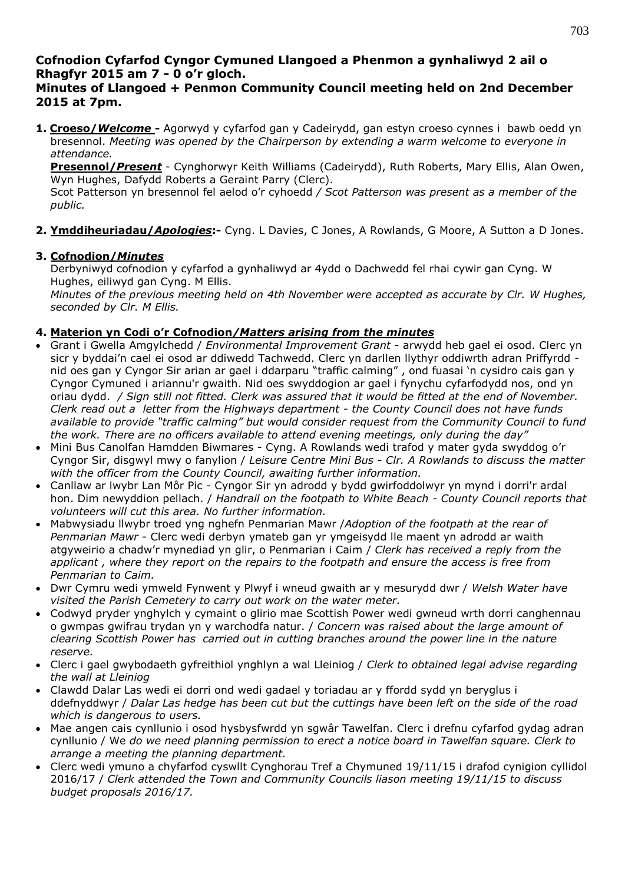# **Cofnodion Cyfarfod Cyngor Cymuned Llangoed a Phenmon a gynhaliwyd 2 ail o Rhagfyr 2015 am 7 - 0 o'r gloch.**

## **Minutes of Llangoed + Penmon Community Council meeting held on 2nd December 2015 at 7pm.**

**1. Croeso/***Welcome* **-** Agorwyd y cyfarfod gan y Cadeirydd, gan estyn croeso cynnes i bawb oedd yn bresennol. *Meeting was opened by the Chairperson by extending a warm welcome to everyone in attendance.*

**Presennol/***Present* - Cynghorwyr Keith Williams (Cadeirydd), Ruth Roberts, Mary Ellis, Alan Owen, Wyn Hughes, Dafydd Roberts a Geraint Parry (Clerc).

Scot Patterson yn bresennol fel aelod o'r cyhoedd */ Scot Patterson was present as a member of the public.*

**2. Ymddiheuriadau/***Apologies***:-** Cyng. L Davies, C Jones, A Rowlands, G Moore, A Sutton a D Jones.

## **3. Cofnodion/***Minutes*

Derbyniwyd cofnodion y cyfarfod a gynhaliwyd ar 4ydd o Dachwedd fel rhai cywir gan Cyng. W Hughes, eiliwyd gan Cyng. M Ellis.

*Minutes of the previous meeting held on 4th November were accepted as accurate by Clr. W Hughes, seconded by Clr. M Ellis.*

#### **4. Materion yn Codi o'r Cofnodion***/Matters arising from the minutes*

- Grant i Gwella Amgylchedd / *Environmental Improvement Grant* arwydd heb gael ei osod. Clerc yn sicr y byddai'n cael ei osod ar ddiwedd Tachwedd. Clerc yn darllen llythyr oddiwrth adran Priffyrdd nid oes gan y Cyngor Sir arian ar gael i ddarparu "traffic calming" , ond fuasai 'n cysidro cais gan y Cyngor Cymuned i ariannu'r gwaith. Nid oes swyddogion ar gael i fynychu cyfarfodydd nos, ond yn oriau dydd. */ Sign* s*till not fitted. Clerk was assured that it would be fitted at the end of November. Clerk read out a letter from the Highways department - the County Council does not have funds available to provide "traffic calming" but would consider request from the Community Council to fund the work. There are no officers available to attend evening meetings, only during the day"*
- Mini Bus Canolfan Hamdden Biwmares Cyng. A Rowlands wedi trafod y mater gyda swyddog o'r Cyngor Sir, disgwyl mwy o fanylion / *Leisure Centre Mini Bus - Clr. A Rowlands to discuss the matter with the officer from the County Council, awaiting further information.*
- Canllaw ar lwybr Lan Môr Pic Cyngor Sir yn adrodd y bydd gwirfoddolwyr yn mynd i dorri'r ardal hon. Dim newyddion pellach. / *Handrail on the footpath to White Beach - County Council reports that volunteers will cut this area. No further information.*
- Mabwysiadu llwybr troed yng nghefn Penmarian Mawr /*Adoption of the footpath at the rear of Penmarian Mawr* - Clerc wedi derbyn ymateb gan yr ymgeisydd lle maent yn adrodd ar waith atgyweirio a chadw'r mynediad yn glir, o Penmarian i Caim / *Clerk has received a reply from the applicant , where they report on the repairs to the footpath and ensure the access is free from Penmarian to Caim.*
- Dwr Cymru wedi ymweld Fynwent y Plwyf i wneud gwaith ar y mesurydd dwr / *Welsh Water have visited the Parish Cemetery to carry out work on the water meter.*
- Codwyd pryder ynghylch y cymaint o glirio mae Scottish Power wedi gwneud wrth dorri canghennau o gwmpas gwifrau trydan yn y warchodfa natur. / *Concern was raised about the large amount of clearing Scottish Power has carried out in cutting branches around the power line in the nature reserve.*
- Clerc i gael gwybodaeth gyfreithiol ynghlyn a wal Lleiniog / *Clerk to obtained legal advise regarding the wall at Lleiniog*
- Clawdd Dalar Las wedi ei dorri ond wedi gadael y toriadau ar y ffordd sydd yn beryglus i ddefnyddwyr / *Dalar Las hedge has been cut but the cuttings have been left on the side of the road which is dangerous to users.*
- Mae angen cais cynllunio i osod hysbysfwrdd yn sgwâr Tawelfan. Clerc i drefnu cyfarfod gydag adran cynllunio / We *do we need planning permission to erect a notice board in Tawelfan square. Clerk to arrange a meeting the planning department.*
- Clerc wedi ymuno a chyfarfod cyswllt Cynghorau Tref a Chymuned 19/11/15 i drafod cynigion cyllidol 2016/17 / *Clerk attended the Town and Community Councils liason meeting 19/11/15 to discuss budget proposals 2016/17.*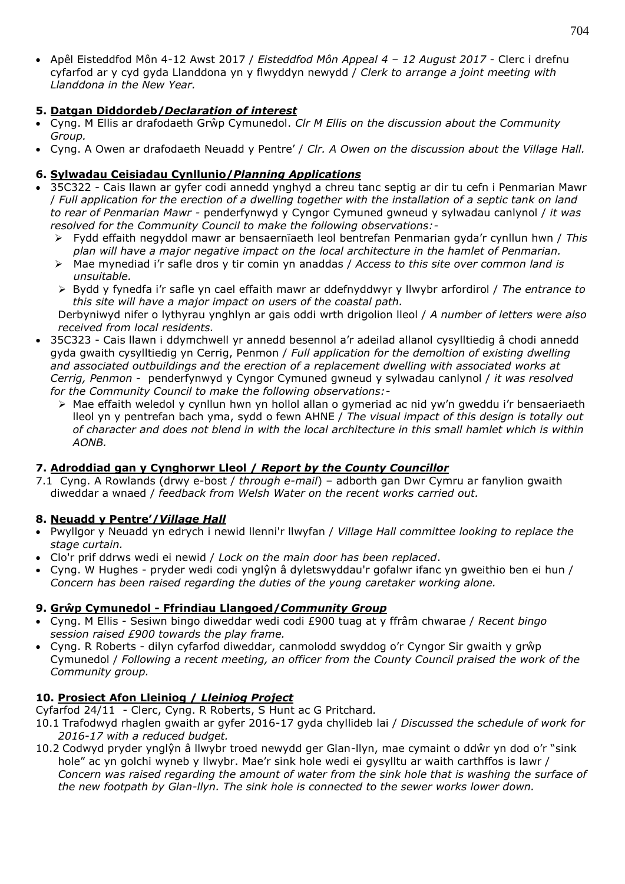Apêl Eisteddfod Môn 4-12 Awst 2017 / *Eisteddfod Môn Appeal 4 – 12 August 2017* - Clerc i drefnu cyfarfod ar y cyd gyda Llanddona yn y flwyddyn newydd / *Clerk to arrange a joint meeting with Llanddona in the New Year.*

#### **5. Datgan Diddordeb/***Declaration of interest*

- Cyng. M Ellis ar drafodaeth Grŵp Cymunedol. *Clr M Ellis on the discussion about the Community Group.*
- Cyng. A Owen ar drafodaeth Neuadd y Pentre' / *Clr. A Owen on the discussion about the Village Hall.*

## **6. Sylwadau Ceisiadau Cynllunio/***Planning Applications*

- 35C322 Cais llawn ar gyfer codi annedd ynghyd a chreu tanc septig ar dir tu cefn i Penmarian Mawr / *Full application for the erection of a dwelling together with the installation of a septic tank on land to rear of Penmarian Mawr -* penderfynwyd y Cyngor Cymuned gwneud y sylwadau canlynol / *it was resolved for the Community Council to make the following observations:-*
	- Fydd effaith negyddol mawr ar bensaernïaeth leol bentrefan Penmarian gyda'r cynllun hwn / *This plan will have a major negative impact on the local architecture in the hamlet of Penmarian.*
	- Mae mynediad i'r safle dros y tir comin yn anaddas / *Access to this site over common land is unsuitable.*
	- Bydd y fynedfa i'r safle yn cael effaith mawr ar ddefnyddwyr y llwybr arfordirol / *The entrance to this site will have a major impact on users of the coastal path.*

Derbyniwyd nifer o lythyrau ynghlyn ar gais oddi wrth drigolion lleol / *A number of letters were also received from local residents.*

- 35C323 Cais llawn i ddymchwell yr annedd besennol a'r adeilad allanol cysylltiedig â chodi annedd gyda gwaith cysylltiedig yn Cerrig, Penmon / *Full application for the demoltion of existing dwelling and associated outbuildings and the erection of a replacement dwelling with associated works at Cerrig, Penmon* - penderfynwyd y Cyngor Cymuned gwneud y sylwadau canlynol / *it was resolved for the Community Council to make the following observations:-*
	- Mae effaith weledol y cynllun hwn yn hollol allan o gymeriad ac nid yw'n gweddu i'r bensaeriaeth lleol yn y pentrefan bach yma, sydd o fewn AHNE / *The visual impact of this design is totally out of character and does not blend in with the local architecture in this small hamlet which is within AONB.*

## **7. Adroddiad gan y Cynghorwr Lleol /** *Report by the County Councillor*

7.1 Cyng. A Rowlands (drwy e-bost / *through e-mail*) – adborth gan Dwr Cymru ar fanylion gwaith diweddar a wnaed / *feedback from Welsh Water on the recent works carried out.*

#### **8. Neuadd y Pentre'/***Village Hall*

- Pwyllgor y Neuadd yn edrych i newid llenni'r llwyfan / *Village Hall committee looking to replace the stage curtain.*
- Clo'r prif ddrws wedi ei newid / *Lock on the main door has been replaced*.
- Cyng. W Hughes pryder wedi codi ynglŷn â dyletswyddau'r gofalwr ifanc yn gweithio ben ei hun / *Concern has been raised regarding the duties of the young caretaker working alone.*

## **9. Grŵp Cymunedol - Ffrindiau Llangoed/***Community Group*

- Cyng. M Ellis Sesiwn bingo diweddar wedi codi £900 tuag at y ffrâm chwarae / *Recent bingo session raised £900 towards the play frame.*
- Cyng. R Roberts dilyn cyfarfod diweddar, canmolodd swyddog o'r Cyngor Sir gwaith y grŵp Cymunedol / *Following a recent meeting, an officer from the County Council praised the work of the Community group.*

## **10. Prosiect Afon Lleiniog /** *Lleiniog Project*

Cyfarfod 24/11 - Clerc, Cyng. R Roberts, S Hunt ac G Pritchard*.*

- 10.1 Trafodwyd rhaglen gwaith ar gyfer 2016-17 gyda chyllideb lai / *Discussed the schedule of work for 2016-17 with a reduced budget.*
- 10.2 Codwyd pryder ynglŷn â llwybr troed newydd ger Glan-llyn, mae cymaint o ddŵr yn dod o'r "sink hole" ac yn golchi wyneb y llwybr. Mae'r sink hole wedi ei gysylltu ar waith carthffos is lawr / *Concern was raised regarding the amount of water from the sink hole that is washing the surface of the new footpath by Glan-llyn. The sink hole is connected to the sewer works lower down.*